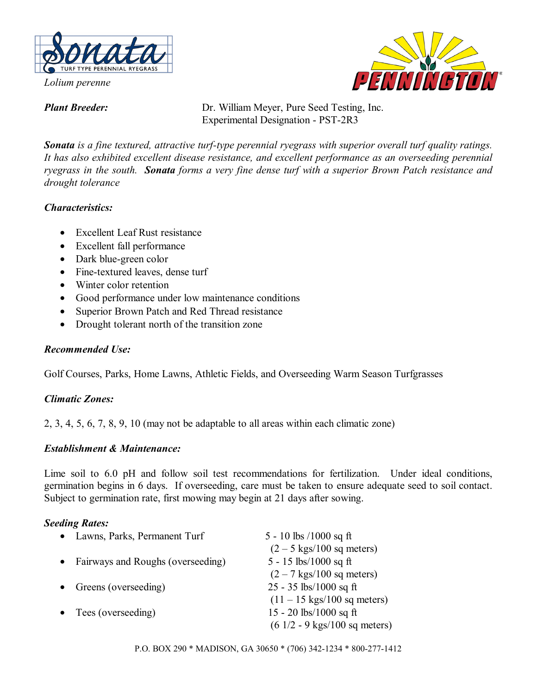

*Lolium perenne* 

PENNINGTO

*Plant Breeder:* Dr. William Meyer, Pure Seed Testing, Inc. Experimental Designation - PST-2R3

*Sonata is a fine textured, attractive turf-type perennial ryegrass with superior overall turf quality ratings. It has also exhibited excellent disease resistance, and excellent performance as an overseeding perennial ryegrass in the south. Sonata forms a very fine dense turf with a superior Brown Patch resistance and drought tolerance* 

# *Characteristics:*

- Excellent Leaf Rust resistance
- Excellent fall performance
- Dark blue-green color
- Fine-textured leaves, dense turf
- Winter color retention
- Good performance under low maintenance conditions
- Superior Brown Patch and Red Thread resistance
- Drought tolerant north of the transition zone

## *Recommended Use:*

Golf Courses, Parks, Home Lawns, Athletic Fields, and Overseeding Warm Season Turfgrasses

## *Climatic Zones:*

2, 3, 4, 5, 6, 7, 8, 9, 10 (may not be adaptable to all areas within each climatic zone)

## *Establishment & Maintenance:*

Lime soil to 6.0 pH and follow soil test recommendations for fertilization. Under ideal conditions, germination begins in 6 days. If overseeding, care must be taken to ensure adequate seed to soil contact. Subject to germination rate, first mowing may begin at 21 days after sowing.

## *Seeding Rates:*

|           | • Lawns, Parks, Permanent Turf    | 5 - 10 lbs $/1000$ sq ft                         |
|-----------|-----------------------------------|--------------------------------------------------|
|           |                                   | $(2 - 5$ kgs/100 sq meters)                      |
| $\bullet$ | Fairways and Roughs (overseeding) | 5 - 15 lbs/1000 sq ft                            |
|           |                                   | $(2 - 7$ kgs/100 sq meters)                      |
|           | Greens (overseeding)              | $25 - 35$ lbs/1000 sq ft                         |
|           |                                   | $(11 - 15 \text{ kgs}/100 \text{ sq meters})$    |
|           | • Tees (overseeding)              | 15 - 20 lbs/1000 sq ft                           |
|           |                                   | $(6\ 1/2 - 9\ \text{kgs}/100\ \text{sq meters})$ |